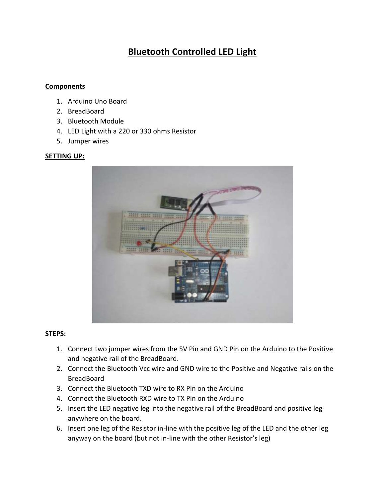# **Bluetooth Controlled LED Light**

## **Components**

- 1. Arduino Uno Board
- 2. BreadBoard
- 3. Bluetooth Module
- 4. LED Light with a 220 or 330 ohms Resistor
- 5. Jumper wires

### **SETTING UP:**



#### **STEPS:**

- 1. Connect two jumper wires from the 5V Pin and GND Pin on the Arduino to the Positive and negative rail of the BreadBoard.
- 2. Connect the Bluetooth Vcc wire and GND wire to the Positive and Negative rails on the BreadBoard
- 3. Connect the Bluetooth TXD wire to RX Pin on the Arduino
- 4. Connect the Bluetooth RXD wire to TX Pin on the Arduino
- 5. Insert the LED negative leg into the negative rail of the BreadBoard and positive leg anywhere on the board.
- 6. Insert one leg of the Resistor in-line with the positive leg of the LED and the other leg anyway on the board (but not in-line with the other Resistor's leg)